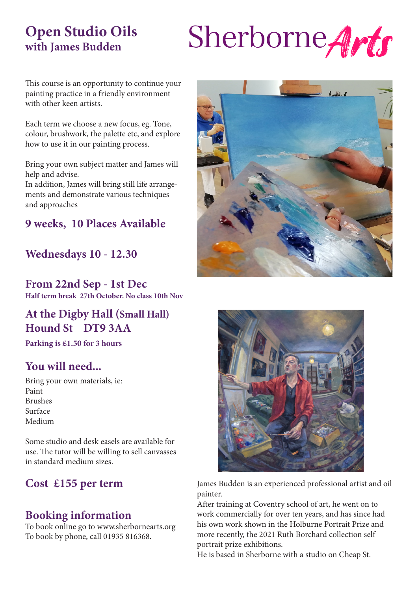## **Open Studio Oils with James Budden**

# Sherborne Arts

This course is an opportunity to continue your painting practice in a friendly environment with other keen artists.

Each term we choose a new focus, eg. Tone, colour, brushwork, the palette etc, and explore how to use it in our painting process.

Bring your own subject matter and James will help and advise.

In addition, James will bring still life arrangements and demonstrate various techniques and approaches

## **9 weeks, 10 Places Available**

#### **Wednesdays 10 - 12.30**

**From 22nd Sep - 1st Dec Half term break 27th October. No class 10th Nov**

## **At the Digby Hall (Small Hall) Hound St DT9 3AA**

**Parking is £1.50 for 3 hours**

#### **You will need...**

Bring your own materials, ie: Paint Brushes Surface Medium

Some studio and desk easels are available for use. The tutor will be willing to sell canvasses in standard medium sizes.

## **Cost £155 per term**

#### **Booking information**

To book online go to www.sherbornearts.org To book by phone, call 01935 816368.





James Budden is an experienced professional artist and oil painter.

After training at Coventry school of art, he went on to work commercially for over ten years, and has since had his own work shown in the Holburne Portrait Prize and more recently, the 2021 Ruth Borchard collection self portrait prize exhibitions.

He is based in Sherborne with a studio on Cheap St.